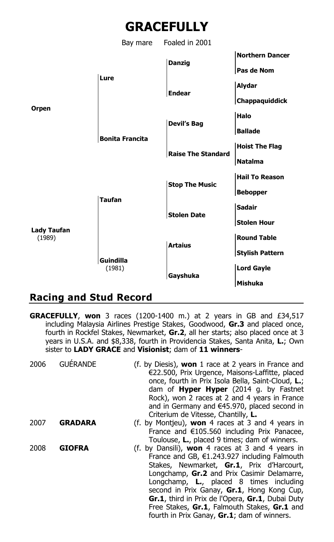

Bay mare Foaled in 2001



## **Racing and Stud Record**

**GRACEFULLY**, **won** 3 races (1200-1400 m.) at 2 years in GB and £34,517 including Malaysia Airlines Prestige Stakes, Goodwood, **Gr.3** and placed once, fourth in Rockfel Stakes, Newmarket, **Gr.2**, all her starts; also placed once at 3 years in U.S.A. and \$8,338, fourth in Providencia Stakes, Santa Anita, **L.**; Own sister to **LADY GRACE** and **Visionist**; dam of **11 winners**-

| 2006 | GUÉRANDE       | (f. by Diesis), won 1 race at 2 years in France and<br>€22.500, Prix Urgence, Maisons-Laffitte, placed<br>once, fourth in Prix Isola Bella, Saint-Cloud, L.;<br>dam of <b>Hyper Hyper</b> (2014 g. by Fastnet<br>Rock), won 2 races at 2 and 4 years in France<br>and in Germany and €45.970, placed second in<br>Criterium de Vitesse, Chantilly, L.                                                                                                     |
|------|----------------|-----------------------------------------------------------------------------------------------------------------------------------------------------------------------------------------------------------------------------------------------------------------------------------------------------------------------------------------------------------------------------------------------------------------------------------------------------------|
| 2007 | <b>GRADARA</b> | (f. by Montieu), won 4 races at 3 and 4 years in<br>France and €105.560 including Prix Panacee,<br>Toulouse, L., placed 9 times; dam of winners.                                                                                                                                                                                                                                                                                                          |
| 2008 | <b>GIOFRA</b>  | (f. by Dansili), <b>won</b> 4 races at 3 and 4 years in<br>France and GB, $\epsilon$ 1.243.927 including Falmouth<br>Stakes, Newmarket, Gr.1, Prix d'Harcourt,<br>Longchamp, Gr.2 and Prix Casimir Delamarre,<br>Longchamp, L., placed 8 times including<br>second in Prix Ganay, Gr.1, Hong Kong Cup,<br>Gr.1, third in Prix de l'Opera, Gr.1, Dubai Duty<br>Free Stakes, Gr.1, Falmouth Stakes, Gr.1 and<br>fourth in Prix Ganay, Gr.1; dam of winners. |